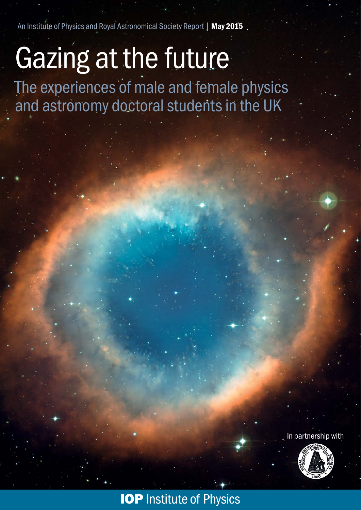An Institute of Physics and Royal Astronomical Society Report | May 2015

# Gazing at the future

The experiences of male and female physics and astronomy doctoral students in the UK

In partnership with



# **IOP Institute of Physics**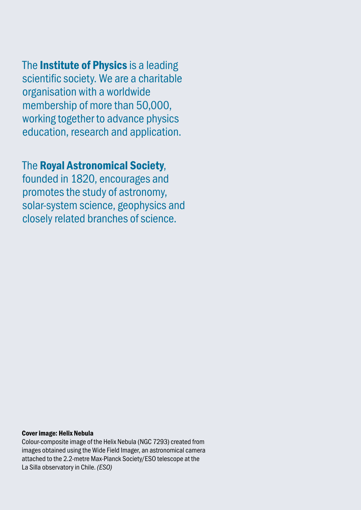The **Institute of Physics** is a leading scientific society. We are a charitable organisation with a worldwide membership of more than 50,000, working together to advance physics education, research and application.

### The Royal Astronomical Society,

founded in 1820, encourages and promotes the study of astronomy, solar-system science, geophysics and closely related branches of science.

#### Cover image: Helix Nebula

Colour-composite image of the Helix Nebula (NGC 7293) created from images obtained using the Wide Field Imager, an astronomical camera attached to the 2.2-metre Max-Planck Society/ESO telescope at the La Silla observatory in Chile. *(ESO)*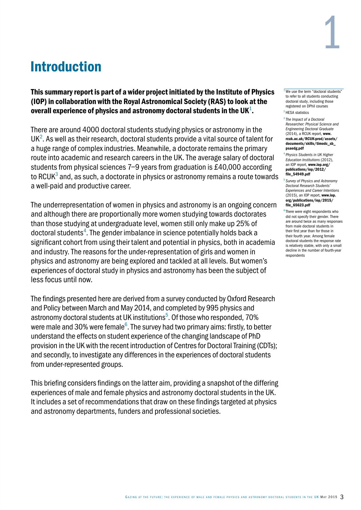

# Introduction

This summary report is part of a wider project initiated by the Institute of Physics (IOP) in collaboration with the Royal Astronomical Society (RAS) to look at the overall experience of physics and astronomy doctoral students in the UK $^{\rm 1}.$ 

There are around 4000 doctoral students studying physics or astronomy in the  $UK<sup>2</sup>$ . As well as their research, doctoral students provide a vital source of talent for a huge range of complex industries. Meanwhile, a doctorate remains the primary route into academic and research careers in the UK. The average salary of doctoral students from physical sciences 7–9 years from graduation is £40,000 according to RCUK $^3$  and, as such, a doctorate in physics or astronomy remains a route towards a well-paid and productive career.

The underrepresentation of women in physics and astronomy is an ongoing concern and although there are proportionally more women studying towards doctorates than those studying at undergraduate level, women still only make up 25% of doctoral students<sup>4</sup>. The gender imbalance in science potentially holds back a significant cohort from using their talent and potential in physics, both in academia and industry. The reasons for the under-representation of girls and women in physics and astronomy are being explored and tackled at all levels. But women's experiences of doctoral study in physics and astronomy has been the subject of less focus until now.

The findings presented here are derived from a survey conducted by Oxford Research and Policy between March and May 2014, and completed by 995 physics and astronomy doctoral students at UK institutions<sup>5</sup>. Of those who responded, 70% were male and 30% were female $^6$ . The survey had two primary aims: firstly, to better understand the effects on student experience of the changing landscape of PhD provision in the UK with the recent introduction of Centres for Doctoral Training (CDTs); and secondly, to investigate any differences in the experiences of doctoral students from under-represented groups.

This briefing considers findings on the latter aim, providing a snapshot of the differing experiences of male and female physics and astronomy doctoral students in the UK. It includes a set of recommendations that draw on these findings targeted at physics and astronomy departments, funders and professional societies.

 $1$  We use the term "doctoral students" to refer to all students conducting doctoral study, including those registered on DPhil courses  $2$  HFSA statistics

<sup>3</sup> *[The Impact of a Doctoral](www.rcuk.ac.uk/RCUK-prod/assets/documents/skills/timodc_sb_psaedg.pdf)  [Researcher: Physical Science and](www.rcuk.ac.uk/RCUK-prod/assets/documents/skills/timodc_sb_psaedg.pdf)  [Engineering Doctoral Graduate](www.rcuk.ac.uk/RCUK-prod/assets/documents/skills/timodc_sb_psaedg.pdf)* [\(2014\), a RCUK report,](www.rcuk.ac.uk/RCUK-prod/assets/documents/skills/timodc_sb_psaedg.pdf) www. [rcuk.ac.uk/RCUK-prod/assets/](www.rcuk.ac.uk/RCUK-prod/assets/documents/skills/timodc_sb_psaedg.pdf) [documents/skills/timodc\\_sb\\_](www.rcuk.ac.uk/RCUK-prod/assets/documents/skills/timodc_sb_psaedg.pdf) [psaedg.pdf](www.rcuk.ac.uk/RCUK-prod/assets/documents/skills/timodc_sb_psaedg.pdf)

<sup>4</sup> *[Physics Students in UK Higher](www.iop.org/publications/iop/2012/file_54949.pdf)  [Education Institutions](www.iop.org/publications/iop/2012/file_54949.pdf)* (2012), [an IOP report,](www.iop.org/publications/iop/2012/file_54949.pdf) www.iop.org/ [publications/iop/2012/](www.iop.org/publications/iop/2012/file_54949.pdf) [file\\_54949.pdf](www.iop.org/publications/iop/2012/file_54949.pdf)

<sup>5</sup> *[Survey of Physics and Astronomy](www.iop.org/publications/iop/2015/file_65623.pdf)  [Doctoral Research Students'](www.iop.org/publications/iop/2015/file_65623.pdf)  [Experiences and Career Intentions](www.iop.org/publications/iop/2015/file_65623.pdf)*  [\(2015\), an IOP report,](www.iop.org/publications/iop/2015/file_65623.pdf) www.iop. [org/publications/iop/2015/](www.iop.org/publications/iop/2015/file_65623.pdf) [file\\_65623.pdf](www.iop.org/publications/iop/2015/file_65623.pdf)

 $6$  There were eight respondents who did not specify their gender. There are around twice as many responses from male doctoral students in their first year than for those in their fourth year. Among female doctoral students the response rate is relatively stable, with only a small decline in the number of fourth-year respondents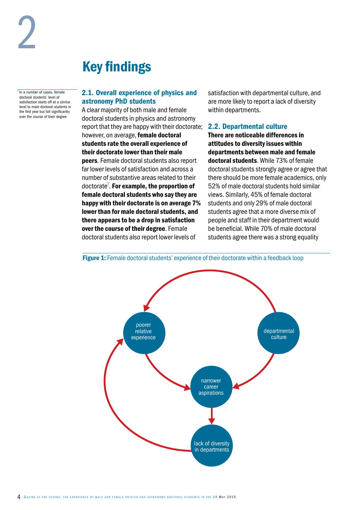$<sup>7</sup>$  In a number of cases, female</sup> doctoral students' level of satisfaction starts off at a similar level to male doctoral students in the first year but fall significantly over the course of their degree

# Key findings

#### 2.1. Overall experience of physics and astronomy PhD students

A clear majority of both male and female doctoral students in physics and astronomy report that they are happy with their doctorate; however, on average, female doctoral students rate the overall experience of their doctorate lower than their male peers. Female doctoral students also report far lower levels of satisfaction and across a number of substantive areas related to their doctorate<sup>7</sup>. For example, the proportion of female doctoral students who say they are happy with their doctorate is on average 7% lower than for male doctoral students, and there appears to be a drop in satisfaction over the course of their degree. Female doctoral students also report lower levels of

satisfaction with departmental culture, and are more likely to report a lack of diversity within departments.

#### 2.2. Departmental culture

There are noticeable differences in attitudes to diversity issues within departments between male and female doctoral students. While 73% of female doctoral students strongly agree or agree that there should be more female academics, only 52% of male doctoral students hold similar views. Similarly, 45% of female doctoral students and only 29% of male doctoral students agree that a more diverse mix of people and staff in their department would be beneficial. While 70% of male doctoral students agree there was a strong equality



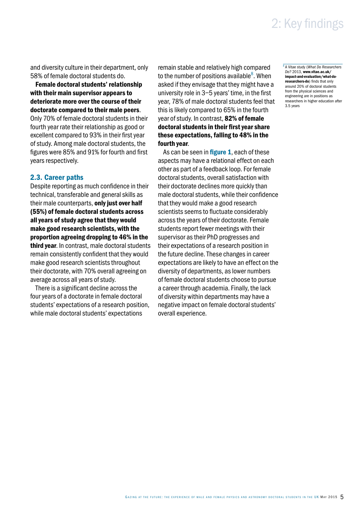### 2: Key findings

and diversity culture in their department, only 58% of female doctoral students do.

Female doctoral students' relationship with their main supervisor appears to deteriorate more over the course of their doctorate compared to their male peers.

Only 70% of female doctoral students in their fourth year rate their relationship as good or excellent compared to 93% in their first year of study. Among male doctoral students, the figures were 85% and 91% for fourth and first years respectively.

#### 2.3. Career paths

Despite reporting as much confidence in their technical, transferable and general skills as their male counterparts, only just over half (55%) of female doctoral students across all years of study agree that they would make good research scientists, with the proportion agreeing dropping to 46% in the third year. In contrast, male doctoral students remain consistently confident that they would make good research scientists throughout their doctorate, with 70% overall agreeing on average across all years of study.

There is a significant decline across the four years of a doctorate in female doctoral students' expectations of a research position, while male doctoral students' expectations

remain stable and relatively high compared to the number of positions available<sup>8</sup>. When asked if they envisage that they might have a university role in 3–5 years' time, in the first year, 78% of male doctoral students feel that this is likely compared to 65% in the fourth year of study. In contrast, 82% of female doctoral students in their first year share these expectations, falling to 48% in the fourth year.

As can be seen in **figure 1**, each of these aspects may have a relational effect on each other as part of a feedback loop. For female doctoral students, overall satisfaction with their doctorate declines more quickly than male doctoral students, while their confidence that they would make a good research scientists seems to fluctuate considerably across the years of their doctorate. Female students report fewer meetings with their supervisor as their PhD progresses and their expectations of a research position in the future decline. These changes in career expectations are likely to have an effect on the diversity of departments, as lower numbers of female doctoral students choose to pursue a career through academia. Finally, the lack of diversity within departments may have a negative impact on female doctoral students' overall experience.

<sup>8</sup> A Vitae study (*[What Do Researchers](www.vitae.ac.uk/impact-and-evaluation/what-do-researchers-do)  Do?* 2013, [www.vitae.ac.uk/](www.vitae.ac.uk/impact-and-evaluation/what-do-researchers-do) [impact-and-evaluation/what-do](www.vitae.ac.uk/impact-and-evaluation/what-do-researchers-do)researchers-do[\) finds that only](www.vitae.ac.uk/impact-and-evaluation/what-do-researchers-do)  [around 20% of doctoral students](www.vitae.ac.uk/impact-and-evaluation/what-do-researchers-do)  [from the physical sciences and](www.vitae.ac.uk/impact-and-evaluation/what-do-researchers-do)  [engineering are in positions as](www.vitae.ac.uk/impact-and-evaluation/what-do-researchers-do)  [researchers in higher education after](www.vitae.ac.uk/impact-and-evaluation/what-do-researchers-do) [3.5 years](www.vitae.ac.uk/impact-and-evaluation/what-do-researchers-do)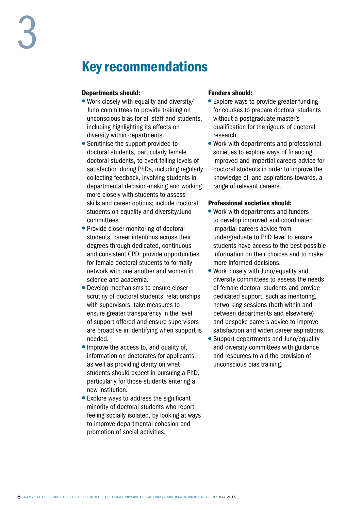### Key recommendations

#### Departments should:

- Work closely with equality and diversity/ Juno committees to provide training on unconscious bias for all staff and students, including highlighting its effects on diversity within departments.
- Scrutinise the support provided to doctoral students, particularly female doctoral students, to avert falling levels of satisfaction during PhDs, including regularly collecting feedback, involving students in departmental decision-making and working more closely with students to assess skills and career options; include doctoral students on equality and diversity/Juno committees.
- Provide closer monitoring of doctoral students' career intentions across their degrees through dedicated, continuous and consistent CPD; provide opportunities for female doctoral students to formally network with one another and women in science and academia.
- Develop mechanisms to ensure closer scrutiny of doctoral students' relationships with supervisors, take measures to ensure greater transparency in the level of support offered and ensure supervisors are proactive in identifying when support is needed.
- Improve the access to, and quality of, information on doctorates for applicants, as well as providing clarity on what students should expect in pursuing a PhD, particularly for those students entering a new institution.
- Explore ways to address the significant minority of doctoral students who report feeling socially isolated, by looking at ways to improve departmental cohesion and promotion of social activities.

#### Funders should:

- Explore ways to provide greater funding for courses to prepare doctoral students without a postgraduate master's qualification for the rigours of doctoral research.
- Work with departments and professional societies to explore ways of financing improved and impartial careers advice for doctoral students in order to improve the knowledge of, and aspirations towards, a range of relevant careers.

#### Professional societies should:

- Work with departments and funders to develop improved and coordinated impartial careers advice from undergraduate to PhD level to ensure students have access to the best possible information on their choices and to make more informed decisions.
- Work closely with Juno/equality and diversity committees to assess the needs of female doctoral students and provide dedicated support, such as mentoring, networking sessions (both within and between departments and elsewhere) and bespoke careers advice to improve satisfaction and widen career aspirations.
- Support departments and Juno/equality and diversity committees with guidance and resources to aid the provision of unconscious bias training.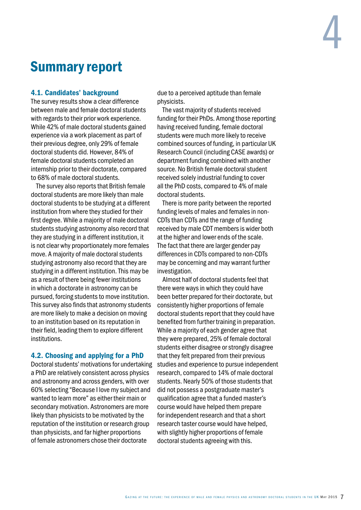#### 4.1. Candidates' background

The survey results show a clear difference between male and female doctoral students with regards to their prior work experience. While 42% of male doctoral students gained experience via a work placement as part of their previous degree, only 29% of female doctoral students did. However, 84% of female doctoral students completed an internship prior to their doctorate, compared to 68% of male doctoral students.

The survey also reports that British female doctoral students are more likely than male doctoral students to be studying at a different institution from where they studied for their first degree. While a majority of male doctoral students studying astronomy also record that they are studying in a different institution, it is not clear why proportionately more females move. A majority of male doctoral students studying astronomy also record that they are studying in a different institution. This may be as a result of there being fewer institutions in which a doctorate in astronomy can be pursued, forcing students to move institution. This survey also finds that astronomy students are more likely to make a decision on moving to an institution based on its reputation in their field, leading them to explore different institutions.

#### 4.2. Choosing and applying for a PhD

Doctoral students' motivations for undertaking a PhD are relatively consistent across physics and astronomy and across genders, with over 60% selecting "Because I love my subject and wanted to learn more" as either their main or secondary motivation. Astronomers are more likely than physicists to be motivated by the reputation of the institution or research group than physicists, and far higher proportions of female astronomers chose their doctorate

due to a perceived aptitude than female physicists.

The vast majority of students received funding for their PhDs. Among those reporting having received funding, female doctoral students were much more likely to receive combined sources of funding, in particular UK Research Council (including CASE awards) or department funding combined with another source. No British female doctoral student received solely industrial funding to cover all the PhD costs, compared to 4% of male doctoral students.

There is more parity between the reported funding levels of males and females in non-CDTs than CDTs and the range of funding received by male CDT members is wider both at the higher and lower ends of the scale. The fact that there are larger gender pay differences in CDTs compared to non-CDTs may be concerning and may warrant further investigation.

Almost half of doctoral students feel that there were ways in which they could have been better prepared for their doctorate, but consistently higher proportions of female doctoral students report that they could have benefited from further training in preparation. While a majority of each gender agree that they were prepared, 25% of female doctoral students either disagree or strongly disagree that they felt prepared from their previous studies and experience to pursue independent research, compared to 14% of male doctoral students. Nearly 50% of those students that did not possess a postgraduate master's qualification agree that a funded master's course would have helped them prepare for independent research and that a short research taster course would have helped, with slightly higher proportions of female doctoral students agreeing with this.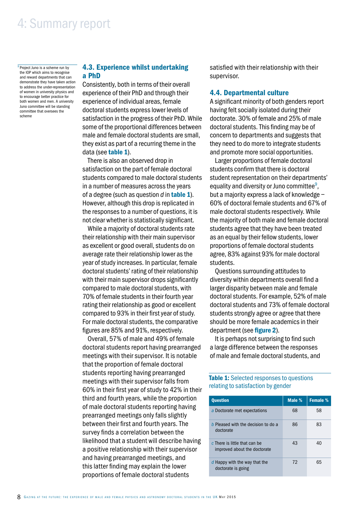<sup>9</sup> Project Juno is a scheme run by the IOP which aims to recognise and reward departments that can demonstrate they have taken action to address the under-representation of women in university physics and to encourage better practice for both women and men. A university Juno committee will be standing committee that oversees the scheme

#### 4.3. Experience whilst undertaking a PhD

Consistently, both in terms of their overall experience of their PhD and through their experience of individual areas, female doctoral students express lower levels of satisfaction in the progress of their PhD. While some of the proportional differences between male and female doctoral students are small, they exist as part of a recurring theme in the data (see table 1).

There is also an observed drop in satisfaction on the part of female doctoral students compared to male doctoral students in a number of measures across the years of a degree (such as question *d* in table 1). However, although this drop is replicated in the responses to a number of questions, it is not clear whether is statistically significant.

While a majority of doctoral students rate their relationship with their main supervisor as excellent or good overall, students do on average rate their relationship lower as the year of study increases. In particular, female doctoral students' rating of their relationship with their main supervisor drops significantly compared to male doctoral students, with 70% of female students in their fourth year rating their relationship as good or excellent compared to 93% in their first year of study. For male doctoral students, the comparative figures are 85% and 91%, respectively.

Overall, 57% of male and 49% of female doctoral students report having prearranged meetings with their supervisor. It is notable that the proportion of female doctoral students reporting having prearranged meetings with their supervisor falls from 60% in their first year of study to 42% in their third and fourth years, while the proportion of male doctoral students reporting having prearranged meetings only falls slightly between their first and fourth years. The survey finds a correlation between the likelihood that a student will describe having a positive relationship with their supervisor and having prearranged meetings, and this latter finding may explain the lower proportions of female doctoral students

satisfied with their relationship with their supervisor.

#### 4.4. Departmental culture

A significant minority of both genders report having felt socially isolated during their doctorate. 30% of female and 25% of male doctoral students. This finding may be of concern to departments and suggests that they need to do more to integrate students and promote more social opportunities.

Larger proportions of female doctoral students confirm that there is doctoral student representation on their departments' equality and diversity or Juno committee<sup>9</sup>, but a majority express a lack of knowledge – 60% of doctoral female students and 67% of male doctoral students respectively. While the majority of both male and female doctoral students agree that they have been treated as an equal by their fellow students, lower proportions of female doctoral students agree, 83% against 93% for male doctoral students.

Questions surrounding attitudes to diversity within departments overall find a larger disparity between male and female doctoral students. For example, 52% of male doctoral students and 73% of female doctoral students strongly agree or agree that there should be more female academics in their department (see figure 2).

It is perhaps not surprising to find such a large difference between the responses of male and female doctoral students, and

Table 1: Selected responses to questions relating to satisfaction by gender

| <b>Question</b>                                               | Male % | Female % |
|---------------------------------------------------------------|--------|----------|
| a Doctorate met expectations                                  | 68     | 58       |
| b Pleased with the decision to do a<br>doctorate              | 86     | 83       |
| c There is little that can be<br>improved about the doctorate | 43     | 40       |
| d Happy with the way that the<br>doctorate is going           | 72     | 65       |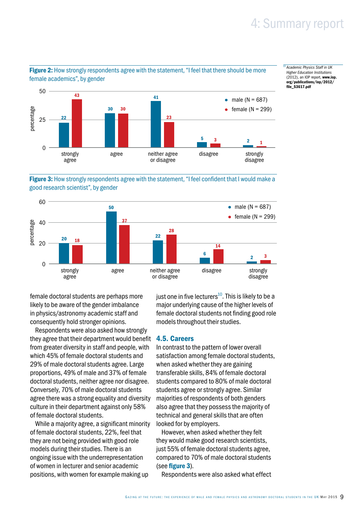[file\\_53617.pdf](www.iop.org/publications/iop/2012/file_53617.pdf)

<sup>10</sup> *[Academic Physics Staff in UK](www.iop.org/publications/iop/2012/file_53617.pdf)  [Higher Education Institutions](www.iop.org/publications/iop/2012/file_53617.pdf)* [\(2012\), an IOP report,](www.iop.org/publications/iop/2012/file_53617.pdf) www.iop. [org/publications/iop/2012/](www.iop.org/publications/iop/2012/file_53617.pdf)



Figure 2: How strongly respondents agree with the statement, "I feel that there should be more

Figure 3: How strongly respondents agree with the statement, "I feel confident that I would make a good research scientist", by gender



female doctoral students are perhaps more likely to be aware of the gender imbalance in physics/astronomy academic staff and consequently hold stronger opinions.

Respondents were also asked how strongly they agree that their department would benefit from greater diversity in staff and people, with which 45% of female doctoral students and 29% of male doctoral students agree. Large proportions, 49% of male and 37% of female doctoral students, neither agree nor disagree. Conversely, 70% of male doctoral students agree there was a strong equality and diversity culture in their department against only 58% of female doctoral students.

While a majority agree, a significant minority of female doctoral students, 22%, feel that they are not being provided with good role models during their studies. There is an ongoing issue with the underrepresentation of women in lecturer and senior academic positions, with women for example making up

just one in five lecturers<sup>10</sup>. This is likely to be a major underlying cause of the higher levels of female doctoral students not finding good role models throughout their studies.

#### 4.5. Careers

In contrast to the pattern of lower overall satisfaction among female doctoral students, when asked whether they are gaining transferable skills, 84% of female doctoral students compared to 80% of male doctoral students agree or strongly agree. Similar majorities of respondents of both genders also agree that they possess the majority of technical and general skills that are often looked for by employers.

However, when asked whether they felt they would make good research scientists, just 55% of female doctoral students agree, compared to 70% of male doctoral students (see figure 3).

Respondents were also asked what effect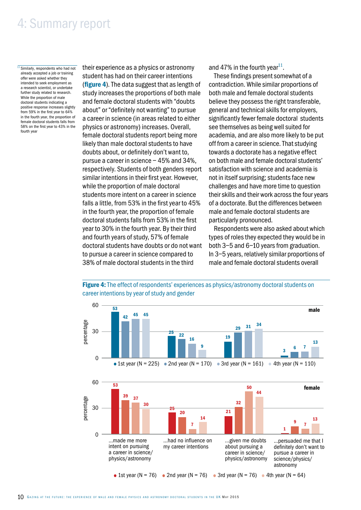$\frac{11}{11}$  Similarly, respondents who had not already accepted a job or training offer were asked whether they intended to seek employment as a research scientist, or undertake further study related to research. While the proportion of male doctoral students indicating a positive response increases slightly from 59% in the first year to 64% in the fourth year, the proportion of female doctoral students falls from 58% on the first year to 43% in the fourth year

their experience as a physics or astronomy student has had on their career intentions (figure 4). The data suggest that as length of study increases the proportions of both male and female doctoral students with "doubts about" or "definitely not wanting" to pursue a career in science (in areas related to either physics or astronomy) increases. Overall, female doctoral students report being more likely than male doctoral students to have doubts about, or definitely don't want to, pursue a career in science – 45% and 34%, respectively. Students of both genders report similar intentions in their first year. However, while the proportion of male doctoral students more intent on a career in science falls a little, from 53% in the first year to 45% in the fourth year, the proportion of female doctoral students falls from 53% in the first year to 30% in the fourth year. By their third and fourth years of study, 57% of female doctoral students have doubts or do not want to pursue a career in science compared to 38% of male doctoral students in the third

career intentions by year of study and gender

and 47% in the fourth year<sup>11</sup>.

These findings present somewhat of a contradiction. While similar proportions of both male and female doctoral students believe they possess the right transferable, general and technical skills for employers, significantly fewer female doctoral students see themselves as being well suited for academia, and are also more likely to be put off from a career in science. That studying towards a doctorate has a negative effect on both male and female doctoral students' satisfaction with science and academia is not in itself surprising; students face new challenges and have more time to question their skills and their work across the four years of a doctorate. But the differences between male and female doctoral students are particularly pronounced.

Respondents were also asked about which types of roles they expected they would be in both 3–5 and 6–10 years from graduation. In 3–5 years, relatively similar proportions of male and female doctoral students overall



Figure 4: The effect of respondents' experiences as physics/astronomy doctoral students on

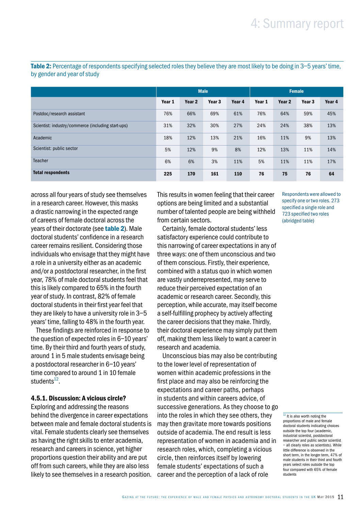Table 2: Percentage of respondents specifying selected roles they believe they are most likely to be doing in 3–5 years' time, by gender and year of study

|                                                    | <b>Male</b> |        |                   | Female |        |                   |        |        |
|----------------------------------------------------|-------------|--------|-------------------|--------|--------|-------------------|--------|--------|
|                                                    | Year 1      | Year 2 | Year <sub>3</sub> | Year 4 | Year 1 | Year <sub>2</sub> | Year 3 | Year 4 |
| Postdoc/research assistant                         | 76%         | 66%    | 69%               | 61%    | 76%    | 64%               | 59%    | 45%    |
| Scientist: industry/commerce (including start-ups) | 31%         | 32%    | 30%               | 27%    | 24%    | 24%               | 38%    | 13%    |
| Academic                                           | 18%         | 12%    | 13%               | 21%    | 16%    | 11%               | 9%     | 13%    |
| Scientist: public sector                           | 5%          | 12%    | 9%                | 8%     | 12%    | 13%               | 11%    | 14%    |
| <b>Teacher</b>                                     | 6%          | 6%     | 3%                | 11%    | 5%     | 11%               | 11%    | 17%    |
| <b>Total respondents</b>                           | 225         | 170    | 161               | 110    | 76     | 75                | 76     | 64     |

across all four years of study see themselves in a research career. However, this masks a drastic narrowing in the expected range of careers of female doctoral across the years of their doctorate (see **table 2**). Male doctoral students' confidence in a research career remains resilient. Considering those individuals who envisage that they might have a role in a university either as an academic and/or a postdoctoral researcher, in the first year, 78% of male doctoral students feel that this is likely compared to 65% in the fourth year of study. In contrast, 82% of female doctoral students in their first year feel that they are likely to have a university role in 3–5 years' time, falling to 48% in the fourth year.

These findings are reinforced in response to the question of expected roles in 6–10 years' time. By their third and fourth years of study, around 1 in 5 male students envisage being a postdoctoral researcher in 6–10 years' time compared to around 1 in 10 female students $12$ .

#### 4.5.1. Discussion: A vicious circle?

Exploring and addressing the reasons behind the divergence in career expectations between male and female doctoral students is vital. Female students clearly see themselves as having the right skills to enter academia, research and careers in science, yet higher proportions question their ability and are put off from such careers, while they are also less likely to see themselves in a research position.

This results in women feeling that their career options are being limited and a substantial number of talented people are being withheld from certain sectors.

Certainly, female doctoral students' less satisfactory experience could contribute to this narrowing of career expectations in any of three ways: one of them unconscious and two of them conscious. Firstly, their experience, combined with a status quo in which women are vastly underrepresented, may serve to reduce their perceived expectation of an academic or research career. Secondly, this perception, while accurate, may itself become a self-fulfilling prophecy by actively affecting the career decisions that they make. Thirdly, their doctoral experience may simply put them off, making them less likely to want a career in research and academia.

Unconscious bias may also be contributing to the lower level of representation of women within academic professions in the first place and may also be reinforcing the expectations and career paths, perhaps in students and within careers advice, of successive generations. As they choose to go into the roles in which they see others, they may then gravitate more towards positions outside of academia. The end result is less representation of women in academia and in research roles, which, completing a vicious circle, then reinforces itself by lowering female students' expectations of such a career and the perception of a lack of role

Respondents were allowed to specify one or two roles. 273 specified a single role and 723 specified two roles (abridged table)

 $12$  It is also worth noting the proportions of male and female doctoral students indicating choices outside the top four (academic, industrial scientist, postdoctoral researcher and public sector scientist – all clearly roles as scientists). While little difference is observed in the short term, in the longer term, 47% of male students in their third and fourth years select roles outside the top four compared with 65% of female students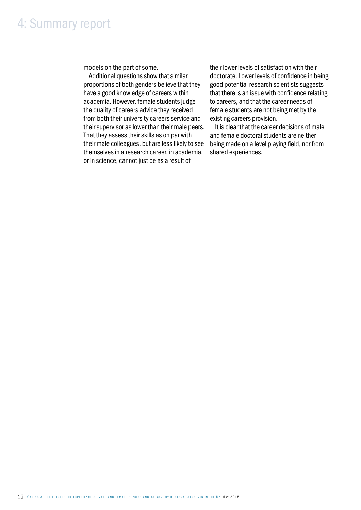models on the part of some.

Additional questions show that similar proportions of both genders believe that they have a good knowledge of careers within academia. However, female students judge the quality of careers advice they received from both their university careers service and their supervisor as lower than their male peers. That they assess their skills as on par with their male colleagues, but are less likely to see themselves in a research career, in academia, or in science, cannot just be as a result of

their lower levels of satisfaction with their doctorate. Lower levels of confidence in being good potential research scientists suggests that there is an issue with confidence relating to careers, and that the career needs of female students are not being met by the existing careers provision.

It is clear that the career decisions of male and female doctoral students are neither being made on a level playing field, nor from shared experiences.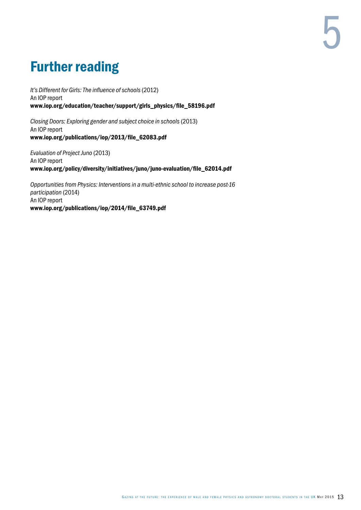# Further reading

*[It's Different for Girls: The influence of schools](www.iop.org/education/teacher/support/girls_physics/file_58196.pdf)* (2012) [An IOP report](www.iop.org/education/teacher/support/girls_physics/file_58196.pdf) [www.iop.org/education/teacher/support/girls\\_physics/file\\_58196.pdf](www.iop.org/education/teacher/support/girls_physics/file_58196.pdf)

*[Closing Doors: Exploring gender and subject choice in schools](www.iop.org/publications/iop/2013/file_62083.pdf)* (2013) [An IOP report](www.iop.org/publications/iop/2013/file_62083.pdf) [www.iop.org/publications/iop/2013/file\\_62083.pdf](www.iop.org/publications/iop/2013/file_62083.pdf)

*[Evaluation of Project Juno](www.iop.org/policy/diversity/initiatives/juno/juno-evaluation/file_62014.pdf)* (2013) [An IOP report](www.iop.org/policy/diversity/initiatives/juno/juno-evaluation/file_62014.pdf) [www.iop.org/policy/diversity/initiatives/juno/juno-evaluation/file\\_62014.pdf](www.iop.org/policy/diversity/initiatives/juno/juno-evaluation/file_62014.pdf)

*[Opportunities from Physics: Interventions in a multi-ethnic school to increase post-16](www.iop.org/publications/iop/2014/file_63749.pdf)  [participation](www.iop.org/publications/iop/2014/file_63749.pdf)* (2014) [An IOP report](www.iop.org/publications/iop/2014/file_63749.pdf) [www.iop.org/publications/iop/2014/file\\_63749.pdf](www.iop.org/publications/iop/2014/file_63749.pdf)

5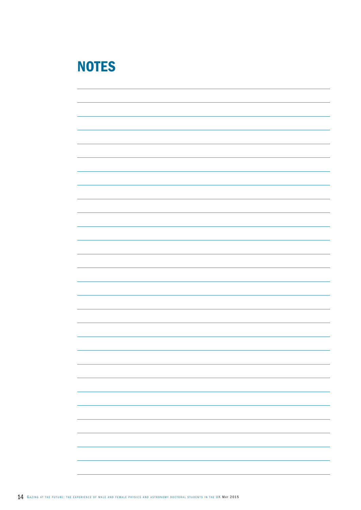# **NOTES**